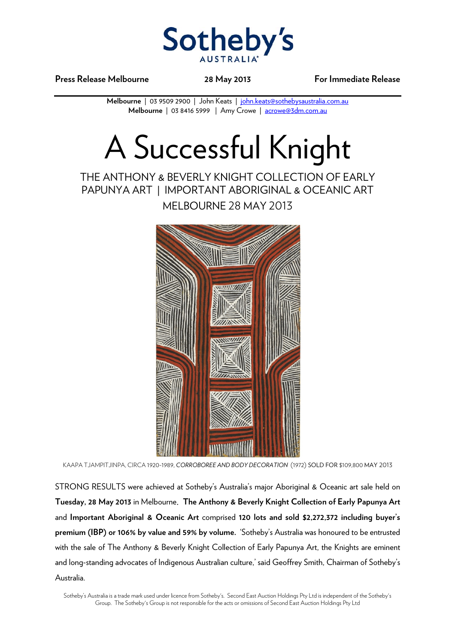

**Press Release Melbourne 28 May 2013 For Immediate Release** 

**Melbourne** | 03 9509 2900 | John Keats | john.keats@sothebysaustralia.com.au **Melbourne** | 03 8416 5999 | Amy Crowe | acrowe@3dm.com.au

# A Successful Knight

## THE ANTHONY & BEVERLY KNIGHT COLLECTION OF EARLY PAPUNYA ART | IMPORTANT ABORIGINAL & OCEANIC ART

MELBOURNE 28 MAY 2013



KAAPA TJAMPITJINPA, CIRCA 1920-1989, *CORROBOREE AND BODY DECORATION* (1972) SOLD FOR \$109,800 MAY 2013

STRONG RESULTS were achieved at Sotheby's Australia's major Aboriginal & Oceanic art sale held on **Tuesday, 28 May 2013** in Melbourne. **The Anthony & Beverly Knight Collection of Early Papunya Art** and **Important Aboriginal & Oceanic Art** comprised **120 lots and sold \$2,272,372 including buyer's premium (IBP) or 106% by value and 59% by volume.** 'Sotheby's Australia was honoured to be entrusted with the sale of The Anthony & Beverly Knight Collection of Early Papunya Art, the Knights are eminent and long-standing advocates of Indigenous Australian culture,' said Geoffrey Smith, Chairman of Sotheby's Australia.

Sotheby's Australia is a trade mark used under licence from Sotheby's. Second East Auction Holdings Pty Ltd is independent of the Sotheby's Group. The Sotheby's Group is not responsible for the acts or omissions of Second East Auction Holdings Pty Ltd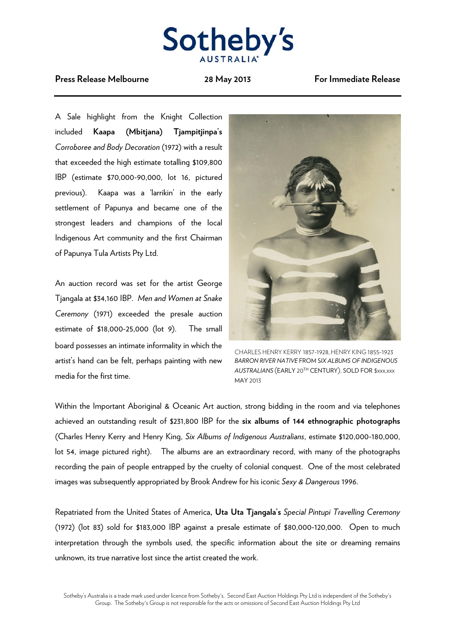

#### **Press Release Melbourne 28 May 2013 For Immediate Release**

A Sale highlight from the Knight Collection included **Kaapa (Mbitjana) Tjampitjinpa's** *Corroboree and Body Decoration* (1972) with a result that exceeded the high estimate totalling \$109,800 IBP (estimate \$70,000-90,000, lot 16, pictured previous). Kaapa was a 'larrikin' in the early settlement of Papunya and became one of the strongest leaders and champions of the local Indigenous Art community and the first Chairman of Papunya Tula Artists Pty Ltd.

An auction record was set for the artist George Tjangala at \$34,160 IBP. *Men and Women at Snake Ceremony* (1971) exceeded the presale auction estimate of \$18,000-25,000 (lot 9). The small board possesses an intimate informality in which the artist's hand can be felt, perhaps painting with new media for the first time.



CHARLES HENRY KERRY 1857-1928, HENRY KING 1855-1923 *BARRON RIVER NATIVE* FROM S*IX ALBUMS OF INDIGENOUS AUSTRALIANS* (EARLY 20TH CENTURY). SOLD FOR \$xxx,xxx MAY 2013

Within the Important Aboriginal & Oceanic Art auction, strong bidding in the room and via telephones achieved an outstanding result of \$231,800 IBP for the **six albums of 144 ethnographic photographs** (Charles Henry Kerry and Henry King, *Six Albums of Indigenous Australians*, estimate \$120,000-180,000, lot 54, image pictured right). The albums are an extraordinary record, with many of the photographs recording the pain of people entrapped by the cruelty of colonial conquest. One of the most celebrated images was subsequently appropriated by Brook Andrew for his iconic *Sexy & Dangerous* 1996.

Repatriated from the United States of America**, Uta Uta Tjangala's** *Special Pintupi Travelling Ceremony* (1972) (lot 83) sold for \$183,000 IBP against a presale estimate of \$80,000-120,000. Open to much interpretation through the symbols used, the specific information about the site or dreaming remains unknown, its true narrative lost since the artist created the work.

Sotheby's Australia is a trade mark used under licence from Sotheby's. Second East Auction Holdings Pty Ltd is independent of the Sotheby's Group. The Sotheby's Group is not responsible for the acts or omissions of Second East Auction Holdings Pty Ltd